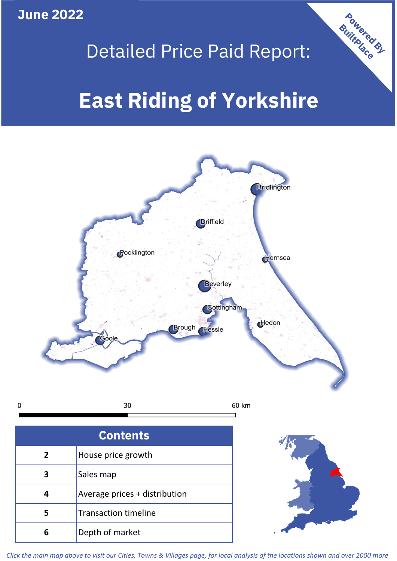**June 2022**

## Detailed Price Paid Report:

Powered By

# **East Riding of Yorkshire**



*Click the main map above to visit our Cities, Towns & Villages page, for local analysis of the locations shown and over 2000 more*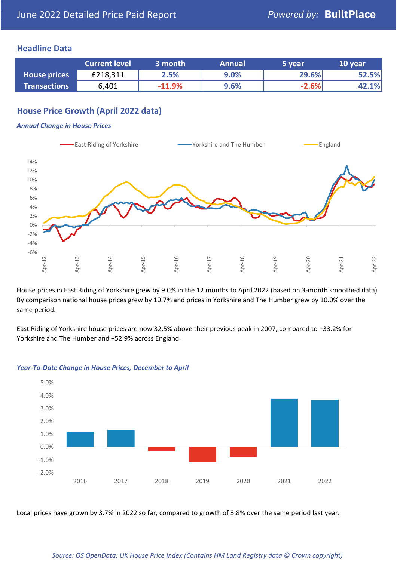## **Headline Data**

|                     | <b>Current level</b> | 3 month  | <b>Annual</b> | 5 year  | 10 year |
|---------------------|----------------------|----------|---------------|---------|---------|
| <b>House prices</b> | £218,311             | 2.5%     | 9.0%          | 29.6%   | 52.5%   |
| <b>Transactions</b> | 6,401                | $-11.9%$ | 9.6%          | $-2.6%$ | 42.1%   |

## **House Price Growth (April 2022 data)**

#### *Annual Change in House Prices*



House prices in East Riding of Yorkshire grew by 9.0% in the 12 months to April 2022 (based on 3-month smoothed data). By comparison national house prices grew by 10.7% and prices in Yorkshire and The Humber grew by 10.0% over the same period.

East Riding of Yorkshire house prices are now 32.5% above their previous peak in 2007, compared to +33.2% for Yorkshire and The Humber and +52.9% across England.



#### *Year-To-Date Change in House Prices, December to April*

Local prices have grown by 3.7% in 2022 so far, compared to growth of 3.8% over the same period last year.

#### *Source: OS OpenData; UK House Price Index (Contains HM Land Registry data © Crown copyright)*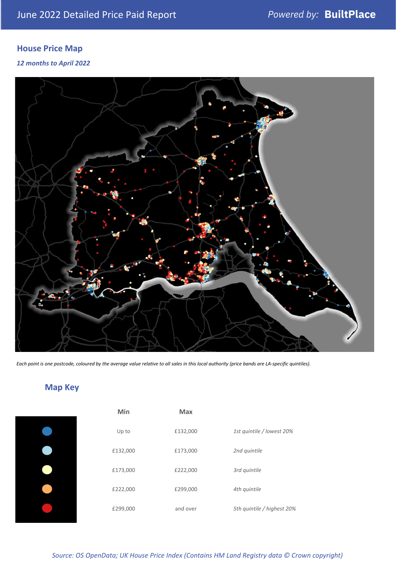## **House Price Map**

## *12 months to April 2022*



*Each point is one postcode, coloured by the average value relative to all sales in this local authority (price bands are LA-specific quintiles).*

## **Map Key**

| Min      | Max      |                            |
|----------|----------|----------------------------|
| Up to    | £132,000 | 1st quintile / lowest 20%  |
| £132,000 | £173,000 | 2nd quintile               |
| £173,000 | £222,000 | 3rd quintile               |
| £222,000 | £299,000 | 4th quintile               |
| £299,000 | and over | 5th quintile / highest 20% |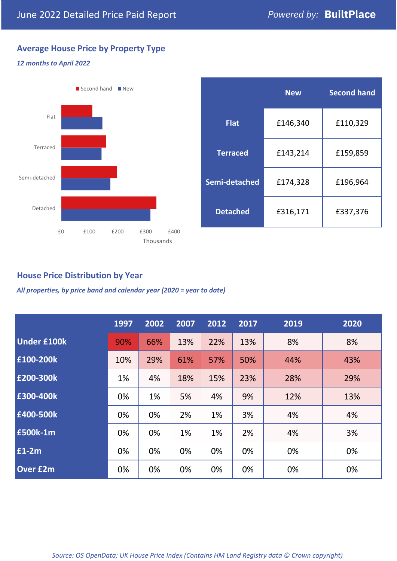## **Average House Price by Property Type**

### *12 months to April 2022*



|                 | <b>New</b> | <b>Second hand</b> |  |  |
|-----------------|------------|--------------------|--|--|
| <b>Flat</b>     | £146,340   | £110,329           |  |  |
| <b>Terraced</b> | £143,214   | £159,859           |  |  |
| Semi-detached   | £174,328   | £196,964           |  |  |
| <b>Detached</b> | £316,171   | £337,376           |  |  |

## **House Price Distribution by Year**

*All properties, by price band and calendar year (2020 = year to date)*

|                    | 1997 | 2002 | 2007 | 2012 | 2017 | 2019 | 2020 |
|--------------------|------|------|------|------|------|------|------|
| <b>Under £100k</b> | 90%  | 66%  | 13%  | 22%  | 13%  | 8%   | 8%   |
| £100-200k          | 10%  | 29%  | 61%  | 57%  | 50%  | 44%  | 43%  |
| £200-300k          | 1%   | 4%   | 18%  | 15%  | 23%  | 28%  | 29%  |
| £300-400k          | 0%   | 1%   | 5%   | 4%   | 9%   | 12%  | 13%  |
| £400-500k          | 0%   | 0%   | 2%   | 1%   | 3%   | 4%   | 4%   |
| <b>£500k-1m</b>    | 0%   | 0%   | 1%   | 1%   | 2%   | 4%   | 3%   |
| £1-2m              | 0%   | 0%   | 0%   | 0%   | 0%   | 0%   | 0%   |
| <b>Over £2m</b>    | 0%   | 0%   | 0%   | 0%   | 0%   | 0%   | 0%   |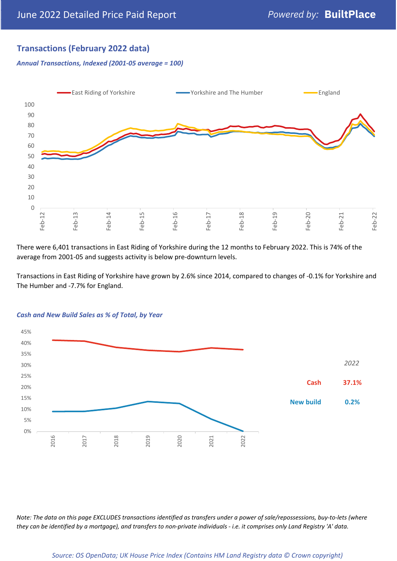## **Transactions (February 2022 data)**

*Annual Transactions, Indexed (2001-05 average = 100)*



There were 6,401 transactions in East Riding of Yorkshire during the 12 months to February 2022. This is 74% of the average from 2001-05 and suggests activity is below pre-downturn levels.

Transactions in East Riding of Yorkshire have grown by 2.6% since 2014, compared to changes of -0.1% for Yorkshire and The Humber and -7.7% for England.



#### *Cash and New Build Sales as % of Total, by Year*

*Note: The data on this page EXCLUDES transactions identified as transfers under a power of sale/repossessions, buy-to-lets (where they can be identified by a mortgage), and transfers to non-private individuals - i.e. it comprises only Land Registry 'A' data.*